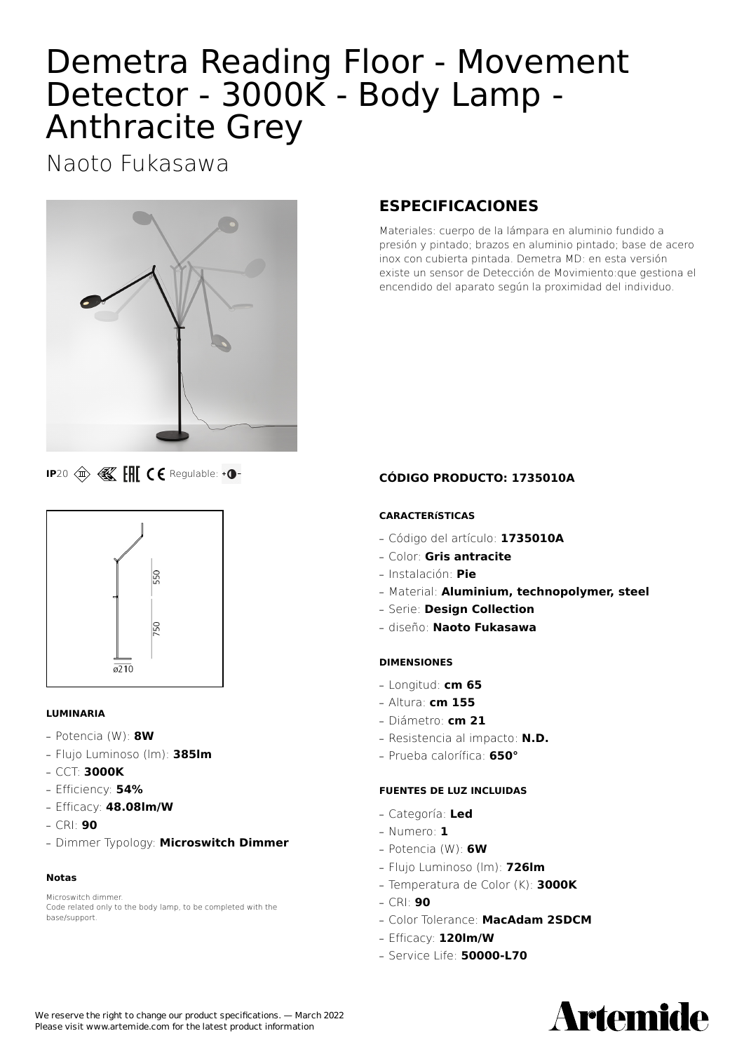# Demetra Reading Floor - Movement Detector - 3000K - Body Lamp - Anthracite Grey

Naoto Fukasawa



**IP**20  $\langle \hat{\mathbf{x}} \rangle$   $\langle \hat{\mathbf{x}} \rangle$  **FHI**  $\zeta$  **C** Regulable: **+0** 



#### **LUMINARIA**

- **—** Potencia (W): **8W**
- **—** Flujo Luminoso (lm): **385lm**
- **—** CCT: **3000K**
- **—** Efficiency: **54%**
- **—** Efficacy: **48.08lm/W**
- **—** CRI: **90**
- **—** Dimmer Typology: **Microswitch Dimmer**

#### **Notas**

Microswitch dimmer. Code related only to the body lamp, to be completed with the base/support.

## **ESPECIFICACIONES**

Materiales: cuerpo de la lámpara en aluminio fundido a presión y pintado; brazos en aluminio pintado; base de acero inox con cubierta pintada. Demetra MD: en esta versión existe un sensor de Detección de Movimiento:que gestiona el encendido del aparato según la proximidad del individuo.

### **CÓDIGO PRODUCTO: 1735010A**

#### **CARACTERíSTICAS**

- **—** Código del artículo: **1735010A**
- **—** Color: **Gris antracite**
- **—** Instalación: **Pie**
- **—** Material: **Aluminium, technopolymer, steel**
- **—** Serie: **Design Collection**
- **—** diseño: **Naoto Fukasawa**

#### **DIMENSIONES**

- **—** Longitud: **cm 65**
- **—** Altura: **cm 155**
- **—** Diámetro: **cm 21**
- **—** Resistencia al impacto: **N.D.**
- **—** Prueba calorífica: **650°**

#### **FUENTES DE LUZ INCLUIDAS**

- **—** Categoría: **Led**
- **—** Numero: **1**
- **—** Potencia (W): **6W**
- **—** Flujo Luminoso (lm): **726lm**
- **—** Temperatura de Color (K): **3000K**
- **—** CRI: **90**
- **—** Color Tolerance: **MacAdam 2SDCM**
- **—** Efficacy: **120lm/W**
- **—** Service Life: **50000-L70**